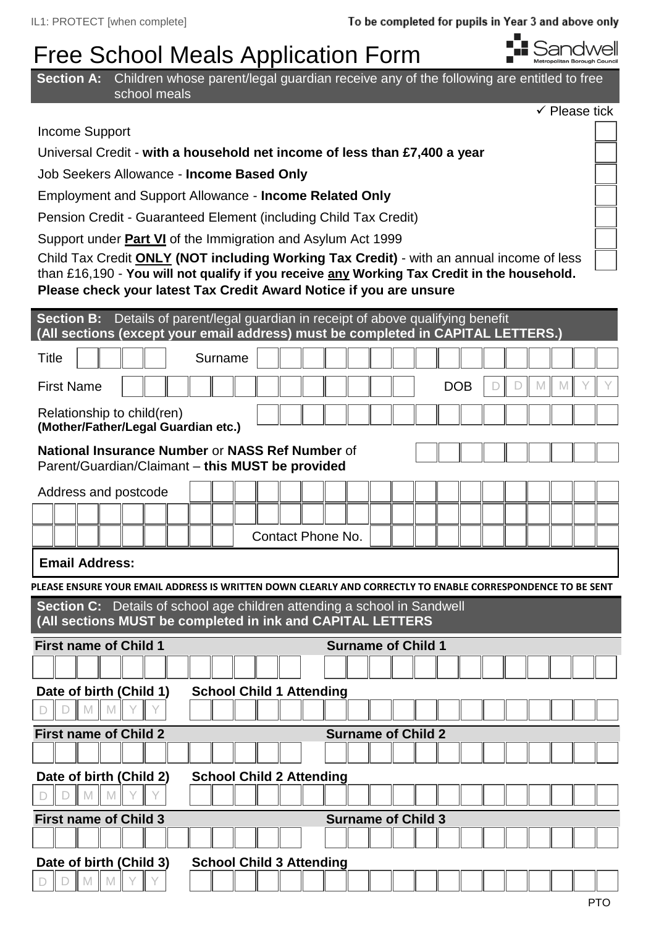## Free School Meals Application Form



| <b>Section A:</b> Children whose parent/legal guardian receive any of the following are entitled to free<br>school meals                         |  |
|--------------------------------------------------------------------------------------------------------------------------------------------------|--|
| $\checkmark$ Please tick                                                                                                                         |  |
| Income Support                                                                                                                                   |  |
| Universal Credit - with a household net income of less than £7,400 a year                                                                        |  |
| Job Seekers Allowance - Income Based Only                                                                                                        |  |
| <b>Employment and Support Allowance - Income Related Only</b>                                                                                    |  |
| Pension Credit - Guaranteed Element (including Child Tax Credit)                                                                                 |  |
| Support under <b>Part VI</b> of the Immigration and Asylum Act 1999                                                                              |  |
| Child Tax Credit <b>ONLY (NOT including Working Tax Credit)</b> - with an annual income of less                                                  |  |
| than £16,190 - You will not qualify if you receive any Working Tax Credit in the household.                                                      |  |
| Please check your latest Tax Credit Award Notice if you are unsure                                                                               |  |
| Section B: Details of parent/legal guardian in receipt of above qualifying benefit                                                               |  |
| (All sections (except your email address) must be completed in CAPITAL LETTERS.)                                                                 |  |
| <b>Title</b><br>Surname                                                                                                                          |  |
| <b>First Name</b><br><b>DOB</b><br>M<br>M                                                                                                        |  |
| Relationship to child(ren)                                                                                                                       |  |
| (Mother/Father/Legal Guardian etc.)                                                                                                              |  |
| National Insurance Number or NASS Ref Number of<br>Parent/Guardian/Claimant - this MUST be provided                                              |  |
| Address and postcode                                                                                                                             |  |
|                                                                                                                                                  |  |
| <b>Contact Phone No.</b>                                                                                                                         |  |
|                                                                                                                                                  |  |
| <b>Email Address:</b>                                                                                                                            |  |
| PLEASE ENSURE YOUR EMAIL ADDRESS IS WRITTEN DOWN CLEARLY AND CORRECTLY TO ENABLE CORRESPONDENCE TO BE SENT                                       |  |
| Details of school age children attending a school in Sandwell<br><b>Section C:</b><br>(All sections MUST be completed in ink and CAPITAL LETTERS |  |
| <b>First name of Child 1</b><br><b>Surname of Child 1</b>                                                                                        |  |
|                                                                                                                                                  |  |
| Date of birth (Child 1)<br><b>School Child 1 Attending</b>                                                                                       |  |
| M<br>M                                                                                                                                           |  |
| <b>First name of Child 2</b><br><b>Surname of Child 2</b>                                                                                        |  |
|                                                                                                                                                  |  |
| Date of birth (Child 2)<br><b>School Child 2 Attending</b>                                                                                       |  |
|                                                                                                                                                  |  |
| <b>First name of Child 3</b><br><b>Surname of Child 3</b>                                                                                        |  |
|                                                                                                                                                  |  |
| Date of birth (Child 3)<br><b>School Child 3 Attending</b>                                                                                       |  |
|                                                                                                                                                  |  |